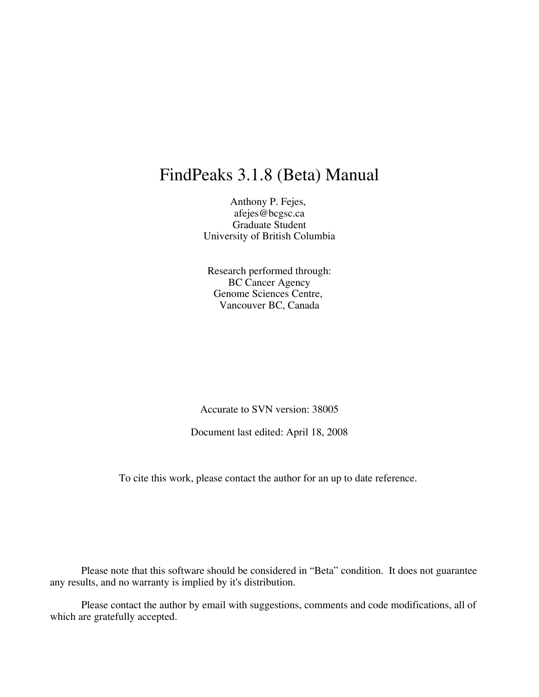# FindPeaks 3.1.8 (Beta) Manual

Anthony P. Fejes, afejes@bcgsc.ca Graduate Student University of British Columbia

Research performed through: BC Cancer Agency Genome Sciences Centre, Vancouver BC, Canada

Accurate to SVN version: 38005

Document last edited: April 18, 2008

To cite this work, please contact the author for an up to date reference.

Please note that this software should be considered in "Beta" condition. It does not guarantee any results, and no warranty is implied by it's distribution.

Please contact the author by email with suggestions, comments and code modifications, all of which are gratefully accepted.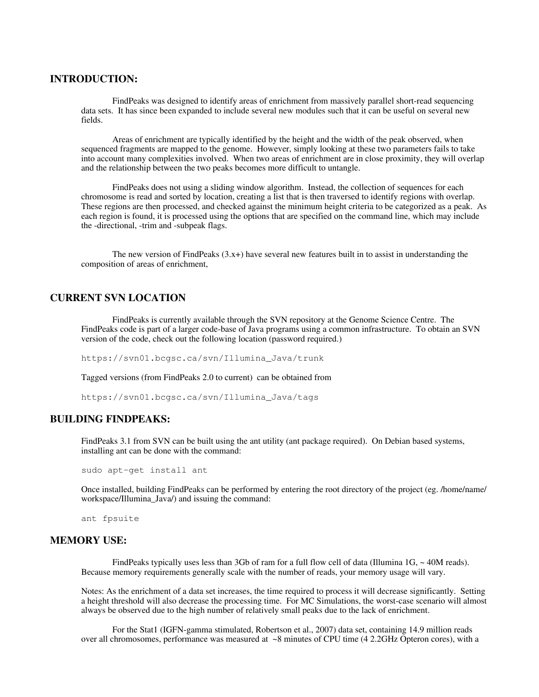# **INTRODUCTION:**

FindPeaks was designed to identify areas of enrichment from massively parallel short-read sequencing data sets. It has since been expanded to include several new modules such that it can be useful on several new fields.

Areas of enrichment are typically identified by the height and the width of the peak observed, when sequenced fragments are mapped to the genome. However, simply looking at these two parameters fails to take into account many complexities involved. When two areas of enrichment are in close proximity, they will overlap and the relationship between the two peaks becomes more difficult to untangle.

FindPeaks does not using a sliding window algorithm. Instead, the collection of sequences for each chromosome is read and sorted by location, creating a list that is then traversed to identify regions with overlap. These regions are then processed, and checked against the minimum height criteria to be categorized as a peak. As each region is found, it is processed using the options that are specified on the command line, which may include the -directional, -trim and -subpeak flags.

The new version of FindPeaks  $(3.x+)$  have several new features built in to assist in understanding the composition of areas of enrichment,

# **CURRENT SVN LOCATION**

FindPeaks is currently available through the SVN repository at the Genome Science Centre. The FindPeaks code is part of a larger code-base of Java programs using a common infrastructure. To obtain an SVN version of the code, check out the following location (password required.)

https://svn01.bcgsc.ca/svn/Illumina\_Java/trunk

Tagged versions (from FindPeaks 2.0 to current) can be obtained from

https://svn01.bcgsc.ca/svn/Illumina\_Java/tags

# **BUILDING FINDPEAKS:**

FindPeaks 3.1 from SVN can be built using the ant utility (ant package required). On Debian based systems, installing ant can be done with the command:

sudo apt-get install ant

Once installed, building FindPeaks can be performed by entering the root directory of the project (eg. /home/name/ workspace/Illumina\_Java/) and issuing the command:

ant fpsuite

## **MEMORY USE:**

FindPeaks typically uses less than 3Gb of ram for a full flow cell of data (Illumina  $1G<sub>z</sub> \sim 40M$  reads). Because memory requirements generally scale with the number of reads, your memory usage will vary.

Notes: As the enrichment of a data set increases, the time required to process it will decrease significantly. Setting a height threshold will also decrease the processing time. For MC Simulations, the worst-case scenario will almost always be observed due to the high number of relatively small peaks due to the lack of enrichment.

For the Stat1 (IGFN-gamma stimulated, Robertson et al., 2007) data set, containing 14.9 million reads over all chromosomes, performance was measured at ~8 minutes of CPU time (4 2.2GHz Opteron cores), with a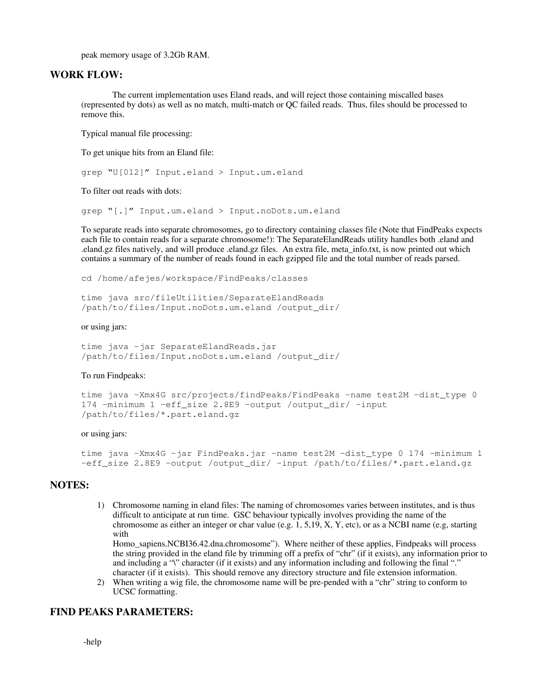peak memory usage of 3.2Gb RAM.

# **WORK FLOW:**

The current implementation uses Eland reads, and will reject those containing miscalled bases (represented by dots) as well as no match, multi-match or QC failed reads. Thus, files should be processed to remove this.

Typical manual file processing:

To get unique hits from an Eland file:

```
grep "U[012]" Input.eland > Input.um.eland
```
To filter out reads with dots:

grep "[.]" Input.um.eland > Input.noDots.um.eland

To separate reads into separate chromosomes, go to directory containing classes file (Note that FindPeaks expects each file to contain reads for a separate chromosome!): The SeparateElandReads utility handles both .eland and .eland.gz files natively, and will produce .eland.gz files. An extra file, meta\_info.txt, is now printed out which contains a summary of the number of reads found in each gzipped file and the total number of reads parsed.

cd /home/afejes/workspace/FindPeaks/classes

time java src/fileUtilities/SeparateElandReads /path/to/files/Input.noDots.um.eland /output\_dir/

### or using jars:

time java -jar SeparateElandReads.jar /path/to/files/Input.noDots.um.eland /output\_dir/

#### To run Findpeaks:

```
time java -Xmx4G src/projects/findPeaks/FindPeaks -name test2M -dist type 0
174 -minimum 1 -eff_size 2.8E9 -output /output_dir/ -input
/path/to/files/*.part.eland.gz
```
## or using jars:

```
time java -Xmx4G -jar FindPeaks.jar -name test2M -dist_type 0 174 -minimum 1
-eff_size 2.8E9 -output /output_dir/ -input /path/to/files/*.part.eland.gz
```
# **NOTES:**

1) Chromosome naming in eland files: The naming of chromosomes varies between institutes, and is thus difficult to anticipate at run time. GSC behaviour typically involves providing the name of the chromosome as either an integer or char value (e.g. 1, 5,19, X, Y, etc), or as a NCBI name (e.g, starting with

Homo\_sapiens.NCBI36.42.dna.chromosome"). Where neither of these applies, Findpeaks will process the string provided in the eland file by trimming off a prefix of "chr" (if it exists), any information prior to and including a "\" character (if it exists) and any information including and following the final "." character (if it exists). This should remove any directory structure and file extension information.

2) When writing a wig file, the chromosome name will be pre-pended with a "chr" string to conform to UCSC formatting.

# **FIND PEAKS PARAMETERS:**

-help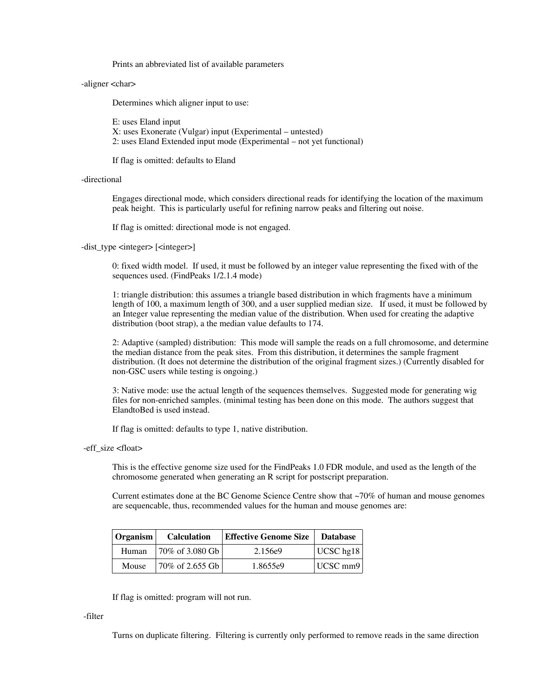Prints an abbreviated list of available parameters

## -aligner <char>

Determines which aligner input to use:

E: uses Eland input X: uses Exonerate (Vulgar) input (Experimental – untested) 2: uses Eland Extended input mode (Experimental – not yet functional)

If flag is omitted: defaults to Eland

## -directional

Engages directional mode, which considers directional reads for identifying the location of the maximum peak height. This is particularly useful for refining narrow peaks and filtering out noise.

If flag is omitted: directional mode is not engaged.

-dist\_type <integer> [<integer>]

0: fixed width model. If used, it must be followed by an integer value representing the fixed with of the sequences used. (FindPeaks 1/2.1.4 mode)

1: triangle distribution: this assumes a triangle based distribution in which fragments have a minimum length of 100, a maximum length of 300, and a user supplied median size. If used, it must be followed by an Integer value representing the median value of the distribution. When used for creating the adaptive distribution (boot strap), a the median value defaults to 174.

2: Adaptive (sampled) distribution: This mode will sample the reads on a full chromosome, and determine the median distance from the peak sites. From this distribution, it determines the sample fragment distribution. (It does not determine the distribution of the original fragment sizes.) (Currently disabled for non-GSC users while testing is ongoing.)

3: Native mode: use the actual length of the sequences themselves. Suggested mode for generating wig files for non-enriched samples. (minimal testing has been done on this mode. The authors suggest that ElandtoBed is used instead.

If flag is omitted: defaults to type 1, native distribution.

#### -eff\_size <float>

This is the effective genome size used for the FindPeaks 1.0 FDR module, and used as the length of the chromosome generated when generating an R script for postscript preparation.

Current estimates done at the BC Genome Science Centre show that ~70% of human and mouse genomes are sequencable, thus, recommended values for the human and mouse genomes are:

| Organism | <b>Calculation</b>                    | <b>Effective Genome Size   Database</b> |                 |
|----------|---------------------------------------|-----------------------------------------|-----------------|
| Human    | 70\% of 3.080 Gb                      | 2.156e9                                 | UCSC hg18       |
| Mouse    | $ 70\% \text{ of } 2.655 \text{ Gb} $ | 1.8655e9                                | $ UCSC$ mm9 $ $ |

If flag is omitted: program will not run.

#### -filter

Turns on duplicate filtering. Filtering is currently only performed to remove reads in the same direction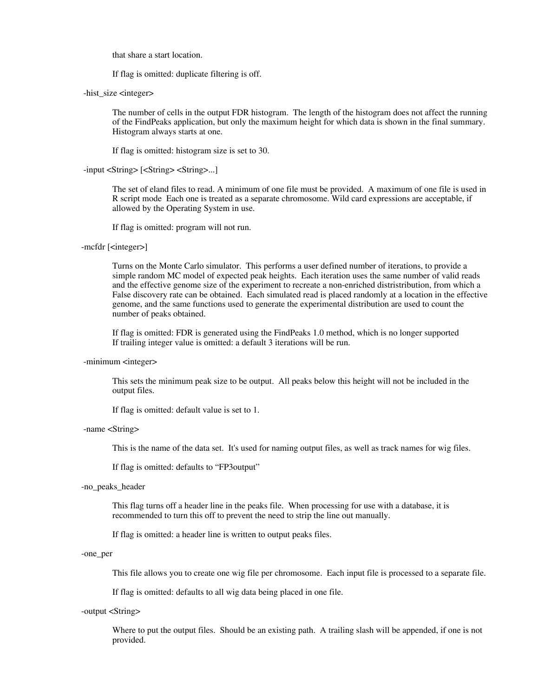that share a start location.

If flag is omitted: duplicate filtering is off.

-hist\_size <integer>

The number of cells in the output FDR histogram. The length of the histogram does not affect the running of the FindPeaks application, but only the maximum height for which data is shown in the final summary. Histogram always starts at one.

If flag is omitted: histogram size is set to 30.

-input <String> [<String> <String>...]

The set of eland files to read. A minimum of one file must be provided. A maximum of one file is used in R script mode Each one is treated as a separate chromosome. Wild card expressions are acceptable, if allowed by the Operating System in use.

If flag is omitted: program will not run.

# -mcfdr [<integer>]

Turns on the Monte Carlo simulator. This performs a user defined number of iterations, to provide a simple random MC model of expected peak heights. Each iteration uses the same number of valid reads and the effective genome size of the experiment to recreate a non-enriched distristribution, from which a False discovery rate can be obtained. Each simulated read is placed randomly at a location in the effective genome, and the same functions used to generate the experimental distribution are used to count the number of peaks obtained.

If flag is omitted: FDR is generated using the FindPeaks 1.0 method, which is no longer supported If trailing integer value is omitted: a default 3 iterations will be run.

#### -minimum <integer>

This sets the minimum peak size to be output. All peaks below this height will not be included in the output files.

If flag is omitted: default value is set to 1.

#### -name <String>

This is the name of the data set. It's used for naming output files, as well as track names for wig files.

If flag is omitted: defaults to "FP3output"

#### -no\_peaks\_header

This flag turns off a header line in the peaks file. When processing for use with a database, it is recommended to turn this off to prevent the need to strip the line out manually.

If flag is omitted: a header line is written to output peaks files.

#### -one\_per

This file allows you to create one wig file per chromosome. Each input file is processed to a separate file.

If flag is omitted: defaults to all wig data being placed in one file.

### -output <String>

Where to put the output files. Should be an existing path. A trailing slash will be appended, if one is not provided.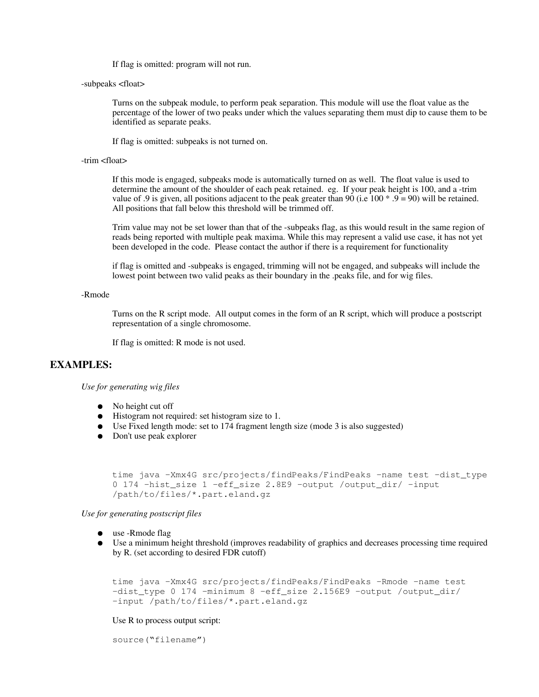If flag is omitted: program will not run.

-subpeaks <float>

Turns on the subpeak module, to perform peak separation. This module will use the float value as the percentage of the lower of two peaks under which the values separating them must dip to cause them to be identified as separate peaks.

If flag is omitted: subpeaks is not turned on.

## -trim <float>

If this mode is engaged, subpeaks mode is automatically turned on as well. The float value is used to determine the amount of the shoulder of each peak retained. eg. If your peak height is 100, and a -trim value of .9 is given, all positions adjacent to the peak greater than 90 (i.e  $100 * .9 = 90$ ) will be retained. All positions that fall below this threshold will be trimmed off.

Trim value may not be set lower than that of the -subpeaks flag, as this would result in the same region of reads being reported with multiple peak maxima. While this may represent a valid use case, it has not yet been developed in the code. Please contact the author if there is a requirement for functionality

if flag is omitted and -subpeaks is engaged, trimming will not be engaged, and subpeaks will include the lowest point between two valid peaks as their boundary in the .peaks file, and for wig files.

#### -Rmode

Turns on the R script mode. All output comes in the form of an R script, which will produce a postscript representation of a single chromosome.

If flag is omitted: R mode is not used.

# **EXAMPLES:**

*Use for generating wig files*

- No height cut off
- Histogram not required: set histogram size to 1.
- Use Fixed length mode: set to 174 fragment length size (mode 3 is also suggested)
- Don't use peak explorer

```
time java -Xmx4G src/projects/findPeaks/FindPeaks -name test -dist_type
0 174 -hist_size 1 -eff_size 2.8E9 -output /output_dir/ -input
/path/to/files/*.part.eland.gz
```
*Use for generating postscript files*

- use -Rmode flag
- Use a minimum height threshold (improves readability of graphics and decreases processing time required by R. (set according to desired FDR cutoff)

```
time java -Xmx4G src/projects/findPeaks/FindPeaks -Rmode -name test
-dist_type 0 174 -minimum 8 -eff_size 2.156E9 -output /output_dir/
-input /path/to/files/*.part.eland.gz
```
## Use R to process output script:

source("filename")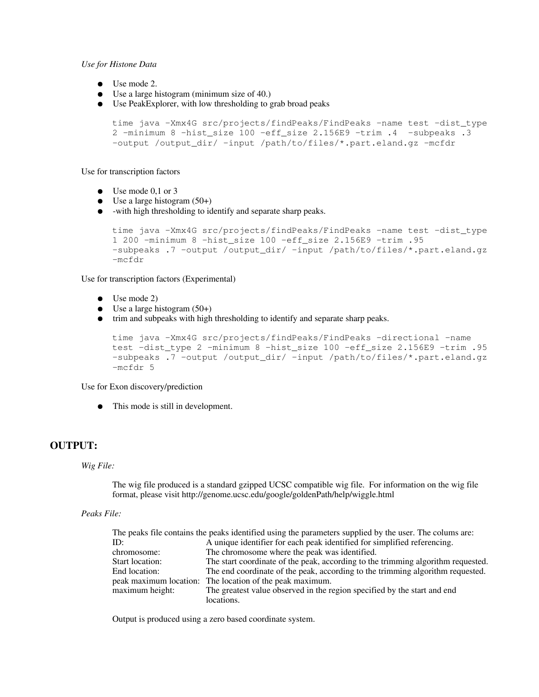## *Use for Histone Data*

- Use mode 2.
- Use a large histogram (minimum size of 40.)
- Use PeakExplorer, with low thresholding to grab broad peaks

```
time java -Xmx4G src/projects/findPeaks/FindPeaks -name test -dist_type
2 -minimum 8 -hist_size 100 -eff_size 2.156E9 -trim .4 -subpeaks .3
-output /output_dir/ -input /path/to/files/*.part.eland.gz -mcfdr
```
Use for transcription factors

- Use mode 0.1 or 3
- Use a large histogram  $(50+)$
- -with high thresholding to identify and separate sharp peaks.

```
time java -Xmx4G src/projects/findPeaks/FindPeaks -name test -dist_type
1 200 -minimum 8 -hist_size 100 -eff_size 2.156E9 -trim .95
-subpeaks .7 -output /output_dir/ -input /path/to/files/*.part.eland.gz
-mcfdr
```
Use for transcription factors (Experimental)

- Use mode 2)
- Use a large histogram  $(50+)$
- trim and subpeaks with high thresholding to identify and separate sharp peaks.

```
time java -Xmx4G src/projects/findPeaks/FindPeaks -directional -name
test -dist_type 2 -minimum 8 -hist_size 100 -eff_size 2.156E9 -trim .95
-subpeaks .7 -output /output_dir/ -input /path/to/files/*.part.eland.gz
-mcfdr 5
```
Use for Exon discovery/prediction

This mode is still in development.

# **OUTPUT:**

## *Wig File:*

The wig file produced is a standard gzipped UCSC compatible wig file. For information on the wig file format, please visit http://genome.ucsc.edu/google/goldenPath/help/wiggle.html

# *Peaks File:*

| The peaks file contains the peaks identified using the parameters supplied by the user. The colums are: |  |
|---------------------------------------------------------------------------------------------------------|--|
| A unique identifier for each peak identified for simplified referencing.                                |  |
| The chromosome where the peak was identified.                                                           |  |
| The start coordinate of the peak, according to the trimming algorithm requested.                        |  |
| The end coordinate of the peak, according to the trimming algorithm requested.                          |  |
| peak maximum location: The location of the peak maximum.                                                |  |
| The greatest value observed in the region specified by the start and end                                |  |
| locations.                                                                                              |  |
|                                                                                                         |  |

Output is produced using a zero based coordinate system.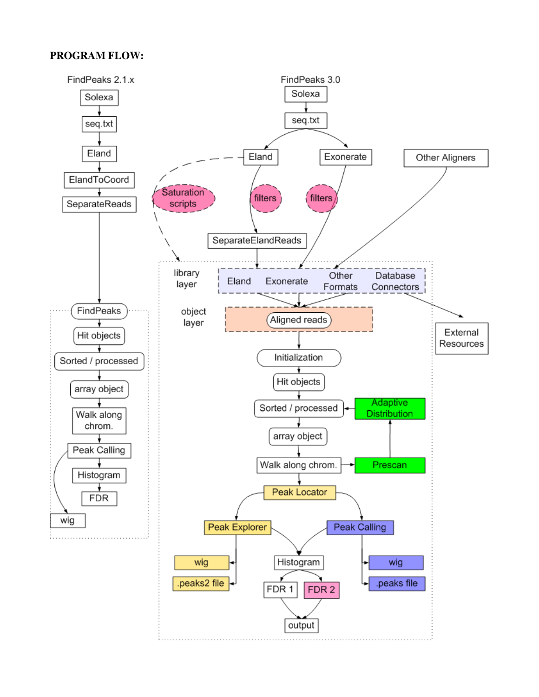# **PROGRAM FLOW:**

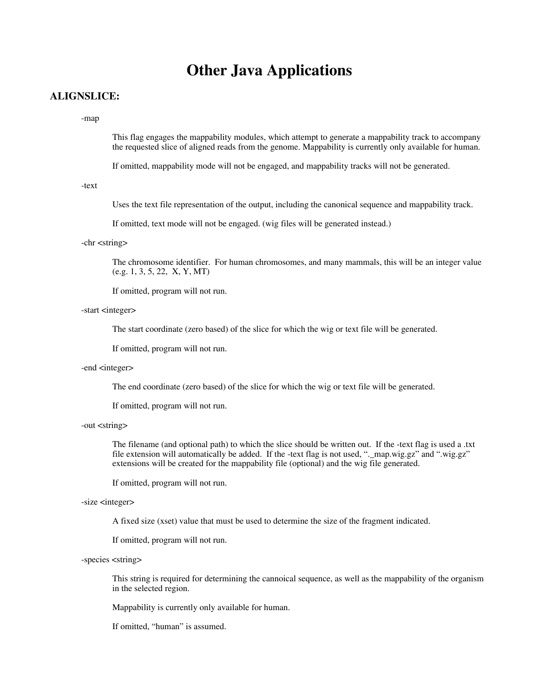# **Other Java Applications**

# **ALIGNSLICE:**

#### -map

This flag engages the mappability modules, which attempt to generate a mappability track to accompany the requested slice of aligned reads from the genome. Mappability is currently only available for human.

If omitted, mappability mode will not be engaged, and mappability tracks will not be generated.

-text

Uses the text file representation of the output, including the canonical sequence and mappability track.

If omitted, text mode will not be engaged. (wig files will be generated instead.)

#### -chr <string>

The chromosome identifier. For human chromosomes, and many mammals, this will be an integer value (e.g. 1, 3, 5, 22, X, Y, MT)

If omitted, program will not run.

## -start <integer>

The start coordinate (zero based) of the slice for which the wig or text file will be generated.

If omitted, program will not run.

## -end <integer>

The end coordinate (zero based) of the slice for which the wig or text file will be generated.

If omitted, program will not run.

## -out <string>

The filename (and optional path) to which the slice should be written out. If the -text flag is used a .txt file extension will automatically be added. If the -text flag is not used, ".\_map.wig.gz" and ".wig.gz" extensions will be created for the mappability file (optional) and the wig file generated.

If omitted, program will not run.

### -size <integer>

A fixed size (xset) value that must be used to determine the size of the fragment indicated.

If omitted, program will not run.

## -species <string>

This string is required for determining the cannoical sequence, as well as the mappability of the organism in the selected region.

Mappability is currently only available for human.

If omitted, "human" is assumed.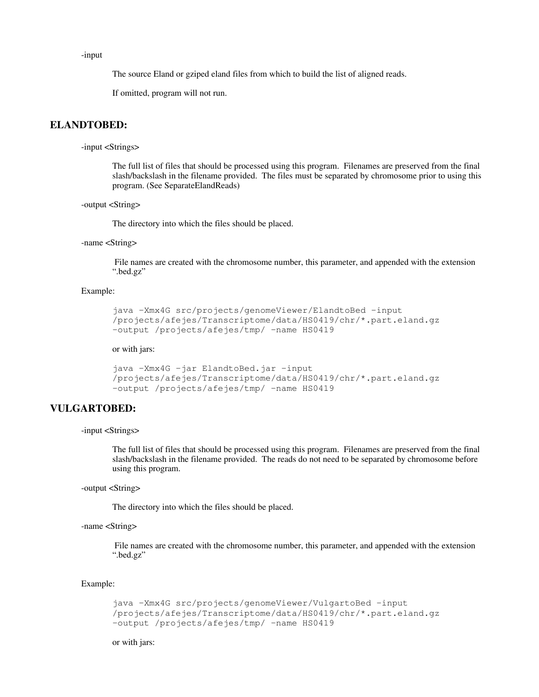-input

The source Eland or gziped eland files from which to build the list of aligned reads.

If omitted, program will not run.

# **ELANDTOBED:**

-input <Strings>

The full list of files that should be processed using this program. Filenames are preserved from the final slash/backslash in the filename provided. The files must be separated by chromosome prior to using this program. (See SeparateElandReads)

```
-output <String>
```
The directory into which the files should be placed.

## -name <String>

 File names are created with the chromosome number, this parameter, and appended with the extension ".bed.gz"

## Example:

```
java -Xmx4G src/projects/genomeViewer/ElandtoBed -input
/projects/afejes/Transcriptome/data/HS0419/chr/*.part.eland.gz
-output /projects/afejes/tmp/ -name HS0419
```
## or with jars:

```
java -Xmx4G -jar ElandtoBed.jar -input
/projects/afejes/Transcriptome/data/HS0419/chr/*.part.eland.gz
-output /projects/afejes/tmp/ -name HS0419
```
# **VULGARTOBED:**

-input <Strings>

The full list of files that should be processed using this program. Filenames are preserved from the final slash/backslash in the filename provided. The reads do not need to be separated by chromosome before using this program.

-output <String>

The directory into which the files should be placed.

#### -name <String>

 File names are created with the chromosome number, this parameter, and appended with the extension ".bed.gz"

## Example:

```
java -Xmx4G src/projects/genomeViewer/VulgartoBed -input
/projects/afejes/Transcriptome/data/HS0419/chr/*.part.eland.gz
-output /projects/afejes/tmp/ -name HS0419
```
or with jars: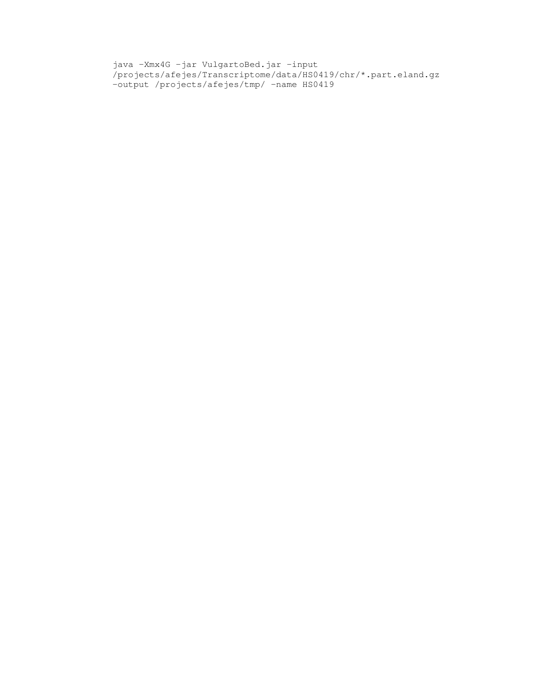java -Xmx4G -jar VulgartoBed.jar -input /projects/afejes/Transcriptome/data/HS0419/chr/\*.part.eland.gz -output /projects/afejes/tmp/ -name HS0419